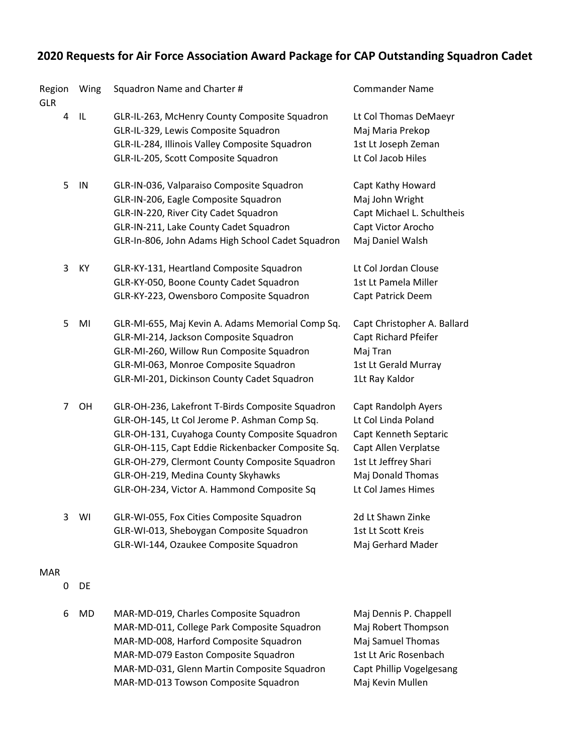## **2020 Requests for Air Force Association Award Package for CAP Outstanding Squadron Cadet**

| Region<br><b>GLR</b> | Wing | Squadron Name and Charter #                                                                                                                                                                                                                                                                                                                   | <b>Commander Name</b>                                                                                                                                          |
|----------------------|------|-----------------------------------------------------------------------------------------------------------------------------------------------------------------------------------------------------------------------------------------------------------------------------------------------------------------------------------------------|----------------------------------------------------------------------------------------------------------------------------------------------------------------|
| 4                    | IL.  | GLR-IL-263, McHenry County Composite Squadron<br>GLR-IL-329, Lewis Composite Squadron<br>GLR-IL-284, Illinois Valley Composite Squadron<br>GLR-IL-205, Scott Composite Squadron                                                                                                                                                               | Lt Col Thomas DeMaeyr<br>Maj Maria Prekop<br>1st Lt Joseph Zeman<br>Lt Col Jacob Hiles                                                                         |
| 5                    | IN   | GLR-IN-036, Valparaiso Composite Squadron<br>GLR-IN-206, Eagle Composite Squadron<br>GLR-IN-220, River City Cadet Squadron<br>GLR-IN-211, Lake County Cadet Squadron<br>GLR-In-806, John Adams High School Cadet Squadron                                                                                                                     | Capt Kathy Howard<br>Maj John Wright<br>Capt Michael L. Schultheis<br>Capt Victor Arocho<br>Maj Daniel Walsh                                                   |
| 3                    | KY   | GLR-KY-131, Heartland Composite Squadron<br>GLR-KY-050, Boone County Cadet Squadron<br>GLR-KY-223, Owensboro Composite Squadron                                                                                                                                                                                                               | Lt Col Jordan Clouse<br>1st Lt Pamela Miller<br>Capt Patrick Deem                                                                                              |
| 5                    | MI   | GLR-MI-655, Maj Kevin A. Adams Memorial Comp Sq.<br>GLR-MI-214, Jackson Composite Squadron<br>GLR-MI-260, Willow Run Composite Squadron<br>GLR-MI-063, Monroe Composite Squadron<br>GLR-MI-201, Dickinson County Cadet Squadron                                                                                                               | Capt Christopher A. Ballard<br>Capt Richard Pfeifer<br>Maj Tran<br>1st Lt Gerald Murray<br>1Lt Ray Kaldor                                                      |
| 7                    | OH   | GLR-OH-236, Lakefront T-Birds Composite Squadron<br>GLR-OH-145, Lt Col Jerome P. Ashman Comp Sq.<br>GLR-OH-131, Cuyahoga County Composite Squadron<br>GLR-OH-115, Capt Eddie Rickenbacker Composite Sq.<br>GLR-OH-279, Clermont County Composite Squadron<br>GLR-OH-219, Medina County Skyhawks<br>GLR-OH-234, Victor A. Hammond Composite Sq | Capt Randolph Ayers<br>Lt Col Linda Poland<br>Capt Kenneth Septaric<br>Capt Allen Verplatse<br>1st Lt Jeffrey Shari<br>Maj Donald Thomas<br>Lt Col James Himes |
| 3                    | WI   | GLR-WI-055, Fox Cities Composite Squadron<br>GLR-WI-013, Sheboygan Composite Squadron<br>GLR-WI-144, Ozaukee Composite Squadron                                                                                                                                                                                                               | 2d Lt Shawn Zinke<br>1st Lt Scott Kreis<br>Maj Gerhard Mader                                                                                                   |
| <b>MAR</b><br>0      | DE   |                                                                                                                                                                                                                                                                                                                                               |                                                                                                                                                                |
| 6                    | MD   | MAR-MD-019, Charles Composite Squadron<br>MAR-MD-011, College Park Composite Squadron<br>MAR-MD-008, Harford Composite Squadron<br>MAR-MD-079 Easton Composite Squadron<br>MAR-MD-031, Glenn Martin Composite Squadron<br>MAR-MD-013 Towson Composite Squadron                                                                                | Maj Dennis P. Chappell<br>Maj Robert Thompson<br>Maj Samuel Thomas<br>1st Lt Aric Rosenbach<br>Capt Phillip Vogelgesang<br>Maj Kevin Mullen                    |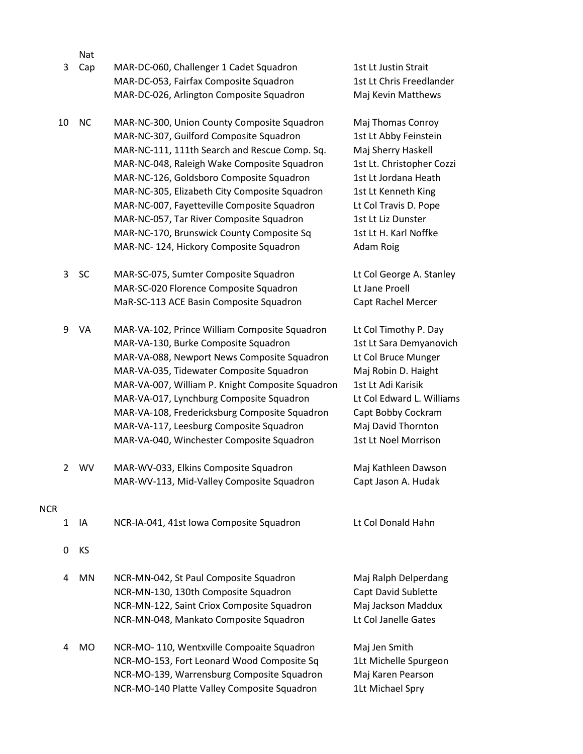|            |              | Nat       |                                                  |                           |
|------------|--------------|-----------|--------------------------------------------------|---------------------------|
|            | 3            | Cap       | MAR-DC-060, Challenger 1 Cadet Squadron          | 1st Lt Justin Strait      |
|            |              |           | MAR-DC-053, Fairfax Composite Squadron           | 1st Lt Chris Freedlander  |
|            |              |           | MAR-DC-026, Arlington Composite Squadron         | Maj Kevin Matthews        |
|            | 10           | <b>NC</b> | MAR-NC-300, Union County Composite Squadron      | Maj Thomas Conroy         |
|            |              |           | MAR-NC-307, Guilford Composite Squadron          | 1st Lt Abby Feinstein     |
|            |              |           | MAR-NC-111, 111th Search and Rescue Comp. Sq.    | Maj Sherry Haskell        |
|            |              |           | MAR-NC-048, Raleigh Wake Composite Squadron      | 1st Lt. Christopher Cozzi |
|            |              |           | MAR-NC-126, Goldsboro Composite Squadron         | 1st Lt Jordana Heath      |
|            |              |           | MAR-NC-305, Elizabeth City Composite Squadron    | 1st Lt Kenneth King       |
|            |              |           | MAR-NC-007, Fayetteville Composite Squadron      | Lt Col Travis D. Pope     |
|            |              |           | MAR-NC-057, Tar River Composite Squadron         | 1st Lt Liz Dunster        |
|            |              |           | MAR-NC-170, Brunswick County Composite Sq        | 1st Lt H. Karl Noffke     |
|            |              |           | MAR-NC-124, Hickory Composite Squadron           | Adam Roig                 |
|            | 3            | <b>SC</b> | MAR-SC-075, Sumter Composite Squadron            | Lt Col George A. Stanley  |
|            |              |           | MAR-SC-020 Florence Composite Squadron           | Lt Jane Proell            |
|            |              |           | MaR-SC-113 ACE Basin Composite Squadron          | Capt Rachel Mercer        |
|            | 9            | VA        | MAR-VA-102, Prince William Composite Squadron    | Lt Col Timothy P. Day     |
|            |              |           | MAR-VA-130, Burke Composite Squadron             | 1st Lt Sara Demyanovich   |
|            |              |           | MAR-VA-088, Newport News Composite Squadron      | Lt Col Bruce Munger       |
|            |              |           | MAR-VA-035, Tidewater Composite Squadron         | Maj Robin D. Haight       |
|            |              |           | MAR-VA-007, William P. Knight Composite Squadron | 1st Lt Adi Karisik        |
|            |              |           | MAR-VA-017, Lynchburg Composite Squadron         | Lt Col Edward L. Williams |
|            |              |           | MAR-VA-108, Fredericksburg Composite Squadron    | Capt Bobby Cockram        |
|            |              |           | MAR-VA-117, Leesburg Composite Squadron          | Maj David Thornton        |
|            |              |           | MAR-VA-040, Winchester Composite Squadron        | 1st Lt Noel Morrison      |
|            | $\mathbf{2}$ | WV        | MAR-WV-033, Elkins Composite Squadron            | Maj Kathleen Dawson       |
|            |              |           | MAR-WV-113, Mid-Valley Composite Squadron        | Capt Jason A. Hudak       |
| <b>NCR</b> |              |           |                                                  |                           |
|            | 1            | IA        | NCR-IA-041, 41st Iowa Composite Squadron         | Lt Col Donald Hahn        |
|            | 0            | KS        |                                                  |                           |
|            | 4            | MN        | NCR-MN-042, St Paul Composite Squadron           | Maj Ralph Delperdang      |
|            |              |           | NCR-MN-130, 130th Composite Squadron             | Capt David Sublette       |
|            |              |           | NCR-MN-122, Saint Criox Composite Squadron       | Maj Jackson Maddux        |
|            |              |           | NCR-MN-048, Mankato Composite Squadron           | Lt Col Janelle Gates      |
|            | 4            | MO        | NCR-MO-110, Wentxville Compoaite Squadron        | Maj Jen Smith             |
|            |              |           | NCR-MO-153, Fort Leonard Wood Composite Sq       | 1Lt Michelle Spurgeon     |

NCR-MO-139, Warrensburg Composite Squadron Maj Karen Pearson NCR-MO-140 Platte Valley Composite Squadron 1Lt Michael Spry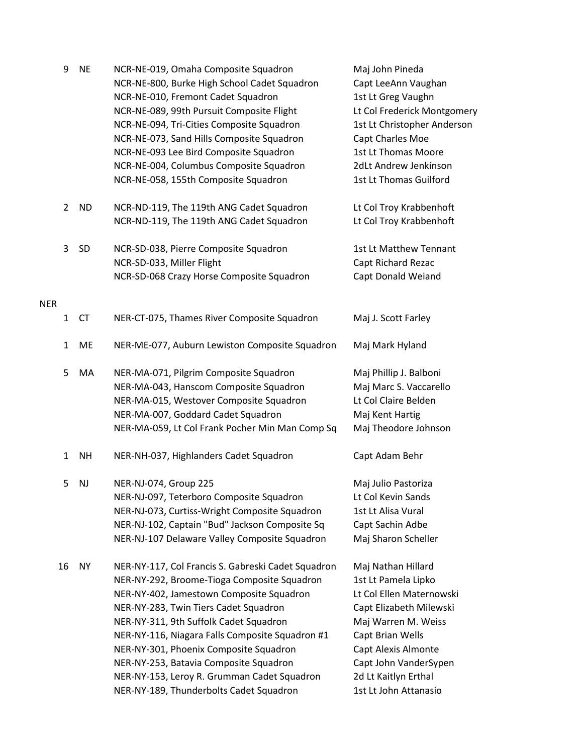|            | 9              | <b>NE</b> | NCR-NE-019, Omaha Composite Squadron               | Maj John Pineda             |
|------------|----------------|-----------|----------------------------------------------------|-----------------------------|
|            |                |           | NCR-NE-800, Burke High School Cadet Squadron       | Capt LeeAnn Vaughan         |
|            |                |           | NCR-NE-010, Fremont Cadet Squadron                 | 1st Lt Greg Vaughn          |
|            |                |           | NCR-NE-089, 99th Pursuit Composite Flight          | Lt Col Frederick Montgomery |
|            |                |           | NCR-NE-094, Tri-Cities Composite Squadron          | 1st Lt Christopher Anderson |
|            |                |           | NCR-NE-073, Sand Hills Composite Squadron          | Capt Charles Moe            |
|            |                |           | NCR-NE-093 Lee Bird Composite Squadron             | 1st Lt Thomas Moore         |
|            |                |           | NCR-NE-004, Columbus Composite Squadron            | 2dLt Andrew Jenkinson       |
|            |                |           | NCR-NE-058, 155th Composite Squadron               | 1st Lt Thomas Guilford      |
|            | $\overline{2}$ | <b>ND</b> | NCR-ND-119, The 119th ANG Cadet Squadron           | Lt Col Troy Krabbenhoft     |
|            |                |           | NCR-ND-119, The 119th ANG Cadet Squadron           | Lt Col Troy Krabbenhoft     |
|            | 3              | SD        | NCR-SD-038, Pierre Composite Squadron              | 1st Lt Matthew Tennant      |
|            |                |           | NCR-SD-033, Miller Flight                          | Capt Richard Rezac          |
|            |                |           | NCR-SD-068 Crazy Horse Composite Squadron          | Capt Donald Weiand          |
| <b>NER</b> |                |           |                                                    |                             |
|            | $\mathbf{1}$   | <b>CT</b> | NER-CT-075, Thames River Composite Squadron        | Maj J. Scott Farley         |
|            | $\mathbf{1}$   | ME        | NER-ME-077, Auburn Lewiston Composite Squadron     | Maj Mark Hyland             |
|            | 5              | MA        | NER-MA-071, Pilgrim Composite Squadron             | Maj Phillip J. Balboni      |
|            |                |           | NER-MA-043, Hanscom Composite Squadron             | Maj Marc S. Vaccarello      |
|            |                |           | NER-MA-015, Westover Composite Squadron            | Lt Col Claire Belden        |
|            |                |           | NER-MA-007, Goddard Cadet Squadron                 | Maj Kent Hartig             |
|            |                |           | NER-MA-059, Lt Col Frank Pocher Min Man Comp Sq    | Maj Theodore Johnson        |
|            | 1              | <b>NH</b> | NER-NH-037, Highlanders Cadet Squadron             | Capt Adam Behr              |
|            | 5              | <b>NJ</b> | NER-NJ-074, Group 225                              | Maj Julio Pastoriza         |
|            |                |           | NER-NJ-097, Teterboro Composite Squadron           | Lt Col Kevin Sands          |
|            |                |           | NER-NJ-073, Curtiss-Wright Composite Squadron      | 1st Lt Alisa Vural          |
|            |                |           | NER-NJ-102, Captain "Bud" Jackson Composite Sq     | Capt Sachin Adbe            |
|            |                |           | NER-NJ-107 Delaware Valley Composite Squadron      | Maj Sharon Scheller         |
|            | 16             | <b>NY</b> | NER-NY-117, Col Francis S. Gabreski Cadet Squadron | Maj Nathan Hillard          |
|            |                |           | NER-NY-292, Broome-Tioga Composite Squadron        | 1st Lt Pamela Lipko         |
|            |                |           | NER-NY-402, Jamestown Composite Squadron           | Lt Col Ellen Maternowski    |
|            |                |           | NER-NY-283, Twin Tiers Cadet Squadron              | Capt Elizabeth Milewski     |
|            |                |           | NER-NY-311, 9th Suffolk Cadet Squadron             | Maj Warren M. Weiss         |
|            |                |           | NER-NY-116, Niagara Falls Composite Squadron #1    | Capt Brian Wells            |
|            |                |           | NER-NY-301, Phoenix Composite Squadron             | Capt Alexis Almonte         |
|            |                |           | NER-NY-253, Batavia Composite Squadron             | Capt John VanderSypen       |
|            |                |           | NER-NY-153, Leroy R. Grumman Cadet Squadron        | 2d Lt Kaitlyn Erthal        |
|            |                |           | NER-NY-189, Thunderbolts Cadet Squadron            | 1st Lt John Attanasio       |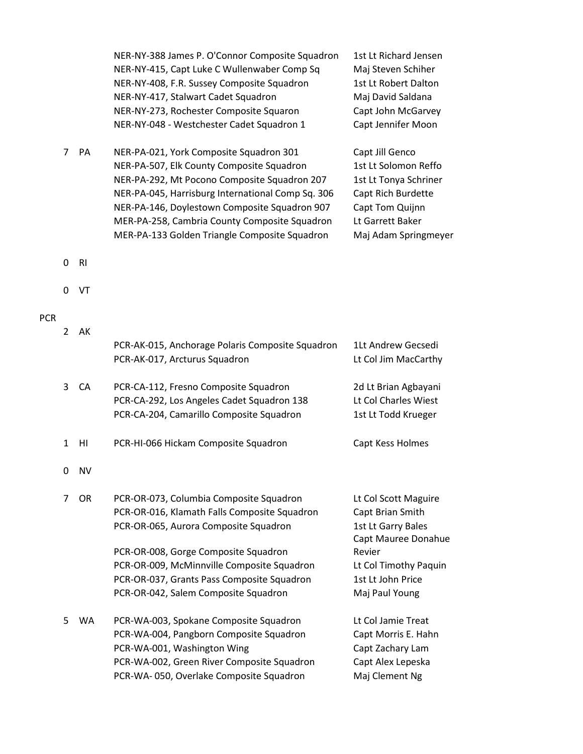|   |                | NER-NY-415, Capt Luke C Wullenwaber Comp Sq<br>NER-NY-408, F.R. Sussey Composite Squadron<br>NER-NY-417, Stalwart Cadet Squadron<br>NER-NY-273, Rochester Composite Squaron<br>NER-NY-048 - Westchester Cadet Squadron 1                                                                                                                     | Maj Steven Schiher<br>1st Lt Robert Dalton<br>Maj David Saldana<br>Capt John McGarvey<br>Capt Jennifer Moon                                           |
|---|----------------|----------------------------------------------------------------------------------------------------------------------------------------------------------------------------------------------------------------------------------------------------------------------------------------------------------------------------------------------|-------------------------------------------------------------------------------------------------------------------------------------------------------|
| 7 | PA             | NER-PA-021, York Composite Squadron 301<br>NER-PA-507, Elk County Composite Squadron<br>NER-PA-292, Mt Pocono Composite Squadron 207<br>NER-PA-045, Harrisburg International Comp Sq. 306<br>NER-PA-146, Doylestown Composite Squadron 907<br>MER-PA-258, Cambria County Composite Squadron<br>MER-PA-133 Golden Triangle Composite Squadron | Capt Jill Genco<br>1st Lt Solomon Reffo<br>1st Lt Tonya Schriner<br>Capt Rich Burdette<br>Capt Tom Quijnn<br>Lt Garrett Baker<br>Maj Adam Springmeyer |
| 0 | R <sub>l</sub> |                                                                                                                                                                                                                                                                                                                                              |                                                                                                                                                       |
| 0 | VT             |                                                                                                                                                                                                                                                                                                                                              |                                                                                                                                                       |
| 2 | AK             | PCR-AK-015, Anchorage Polaris Composite Squadron<br>PCR-AK-017, Arcturus Squadron                                                                                                                                                                                                                                                            | 1Lt Andrew Gecsedi<br>Lt Col Jim MacCarthy                                                                                                            |
| 3 | CA             | PCR-CA-112, Fresno Composite Squadron<br>PCR-CA-292, Los Angeles Cadet Squadron 138<br>PCR-CA-204, Camarillo Composite Squadron                                                                                                                                                                                                              | 2d Lt Brian Agbayani<br>Lt Col Charles Wiest<br>1st Lt Todd Krueger                                                                                   |
| 1 | H <sub>l</sub> | PCR-HI-066 Hickam Composite Squadron                                                                                                                                                                                                                                                                                                         | Capt Kess Holmes                                                                                                                                      |
| 0 | <b>NV</b>      |                                                                                                                                                                                                                                                                                                                                              |                                                                                                                                                       |
| 7 | 0R             | PCR-OR-073, Columbia Composite Squadron<br>PCR-OR-016, Klamath Falls Composite Squadron<br>PCR-OR-065, Aurora Composite Squadron                                                                                                                                                                                                             | Lt Col Scott Maguire<br>Capt Brian Smith<br>1st Lt Garry Bales<br>Capt Mauree Donahue<br>Revier                                                       |
|   |                | PCR-OR-008, Gorge Composite Squadron<br>PCR-OR-009, McMinnville Composite Squadron                                                                                                                                                                                                                                                           | Lt Col Timothy Paquin                                                                                                                                 |
|   |                | PCR-OR-037, Grants Pass Composite Squadron<br>PCR-OR-042, Salem Composite Squadron                                                                                                                                                                                                                                                           | 1st Lt John Price<br>Maj Paul Young                                                                                                                   |
| 5 | <b>WA</b>      | PCR-WA-003, Spokane Composite Squadron<br>PCR-WA-004, Pangborn Composite Squadron<br>PCR-WA-001, Washington Wing<br>PCR-WA-002, Green River Composite Squadron<br>PCR-WA-050, Overlake Composite Squadron                                                                                                                                    | Lt Col Jamie Treat<br>Capt Morris E. Hahn<br>Capt Zachary Lam<br>Capt Alex Lepeska<br>Maj Clement Ng                                                  |

 $\mathbf 0$ 

 $\mathbf 0$ 

 $\overline{2}$ 

 $\mathbf 0$ 

PCR

NER-NY-388 James P. O'Connor Composite Squadron 1st Lt Richard Jensen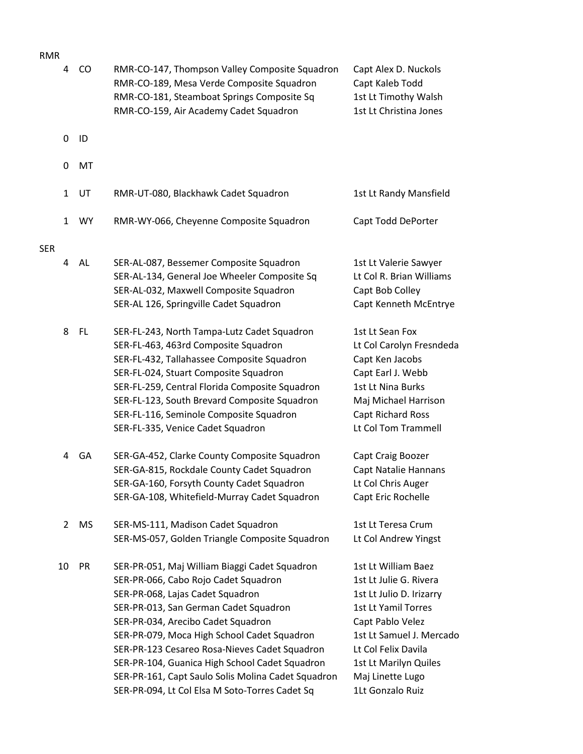| mvuv       | 4              | CO        | RMR-CO-147, Thompson Valley Composite Squadron<br>RMR-CO-189, Mesa Verde Composite Squadron<br>RMR-CO-181, Steamboat Springs Composite Sq<br>RMR-CO-159, Air Academy Cadet Squadron                                                                                                                                                                                                                                                                                | Capt Alex D. Nuckols<br>Capt Kaleb Todd<br>1st Lt Timothy Walsh<br>1st Lt Christina Jones                                                                                                                                                       |
|------------|----------------|-----------|--------------------------------------------------------------------------------------------------------------------------------------------------------------------------------------------------------------------------------------------------------------------------------------------------------------------------------------------------------------------------------------------------------------------------------------------------------------------|-------------------------------------------------------------------------------------------------------------------------------------------------------------------------------------------------------------------------------------------------|
|            | 0              | ID        |                                                                                                                                                                                                                                                                                                                                                                                                                                                                    |                                                                                                                                                                                                                                                 |
|            | 0              | MT        |                                                                                                                                                                                                                                                                                                                                                                                                                                                                    |                                                                                                                                                                                                                                                 |
|            | $\mathbf{1}$   | UT        | RMR-UT-080, Blackhawk Cadet Squadron                                                                                                                                                                                                                                                                                                                                                                                                                               | 1st Lt Randy Mansfield                                                                                                                                                                                                                          |
| <b>SER</b> | $\mathbf{1}$   | <b>WY</b> | RMR-WY-066, Cheyenne Composite Squadron                                                                                                                                                                                                                                                                                                                                                                                                                            | Capt Todd DePorter                                                                                                                                                                                                                              |
|            | 4              | AL        | SER-AL-087, Bessemer Composite Squadron<br>SER-AL-134, General Joe Wheeler Composite Sq<br>SER-AL-032, Maxwell Composite Squadron<br>SER-AL 126, Springville Cadet Squadron                                                                                                                                                                                                                                                                                        | 1st Lt Valerie Sawyer<br>Lt Col R. Brian Williams<br>Capt Bob Colley<br>Capt Kenneth McEntrye                                                                                                                                                   |
|            | 8              | FL.       | SER-FL-243, North Tampa-Lutz Cadet Squadron<br>SER-FL-463, 463rd Composite Squadron<br>SER-FL-432, Tallahassee Composite Squadron<br>SER-FL-024, Stuart Composite Squadron<br>SER-FL-259, Central Florida Composite Squadron<br>SER-FL-123, South Brevard Composite Squadron<br>SER-FL-116, Seminole Composite Squadron<br>SER-FL-335, Venice Cadet Squadron                                                                                                       | 1st Lt Sean Fox<br>Lt Col Carolyn Fresndeda<br>Capt Ken Jacobs<br>Capt Earl J. Webb<br>1st Lt Nina Burks<br>Maj Michael Harrison<br>Capt Richard Ross<br>Lt Col Tom Trammell                                                                    |
|            | 4              | GA        | SER-GA-452, Clarke County Composite Squadron<br>SER-GA-815, Rockdale County Cadet Squadron<br>SER-GA-160, Forsyth County Cadet Squadron<br>SER-GA-108, Whitefield-Murray Cadet Squadron                                                                                                                                                                                                                                                                            | Capt Craig Boozer<br>Capt Natalie Hannans<br>Lt Col Chris Auger<br>Capt Eric Rochelle                                                                                                                                                           |
|            | $\overline{2}$ | MS        | SER-MS-111, Madison Cadet Squadron<br>SER-MS-057, Golden Triangle Composite Squadron                                                                                                                                                                                                                                                                                                                                                                               | 1st Lt Teresa Crum<br>Lt Col Andrew Yingst                                                                                                                                                                                                      |
|            | 10             | PR        | SER-PR-051, Maj William Biaggi Cadet Squadron<br>SER-PR-066, Cabo Rojo Cadet Squadron<br>SER-PR-068, Lajas Cadet Squadron<br>SER-PR-013, San German Cadet Squadron<br>SER-PR-034, Arecibo Cadet Squadron<br>SER-PR-079, Moca High School Cadet Squadron<br>SER-PR-123 Cesareo Rosa-Nieves Cadet Squadron<br>SER-PR-104, Guanica High School Cadet Squadron<br>SER-PR-161, Capt Saulo Solis Molina Cadet Squadron<br>SER-PR-094, Lt Col Elsa M Soto-Torres Cadet Sq | 1st Lt William Baez<br>1st Lt Julie G. Rivera<br>1st Lt Julio D. Irizarry<br><b>1st Lt Yamil Torres</b><br>Capt Pablo Velez<br>1st Lt Samuel J. Mercado<br>Lt Col Felix Davila<br>1st Lt Marilyn Quiles<br>Maj Linette Lugo<br>1Lt Gonzalo Ruiz |

## RMR